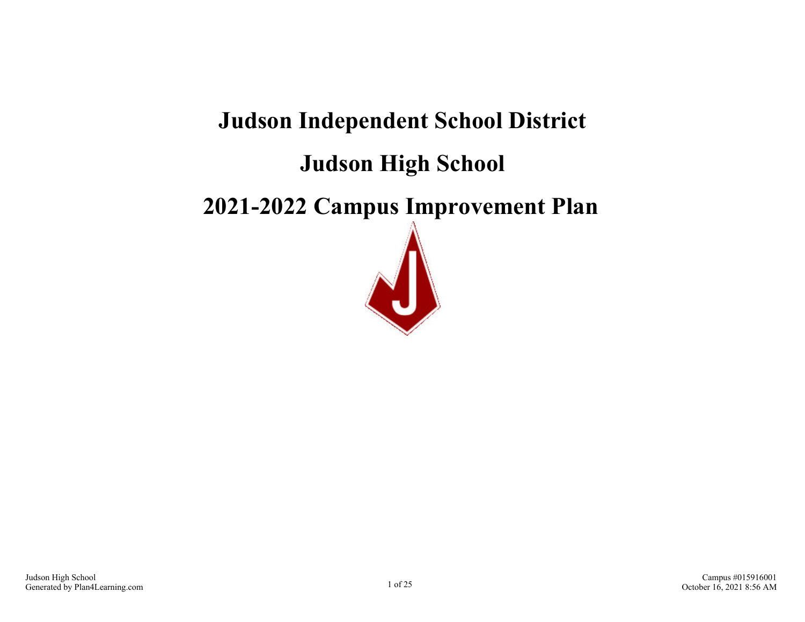# **Judson Independent School District**

# **Judson High School**

# **2021-2022 Campus Improvement Plan**

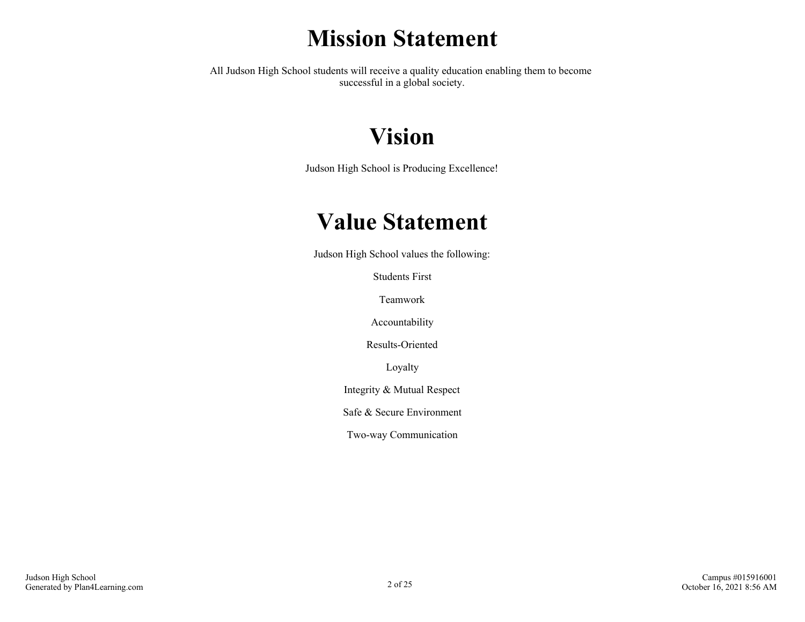# **Mission Statement**

All Judson High School students will receive a quality education enabling them to become successful in a global society.

# **Vision**

Judson High School is Producing Excellence!

# **Value Statement**

Judson High School values the following:

Students First

Teamwork

Accountability

Results-Oriented

Loyalty

Integrity & Mutual Respect

Safe & Secure Environment

Two-way Communication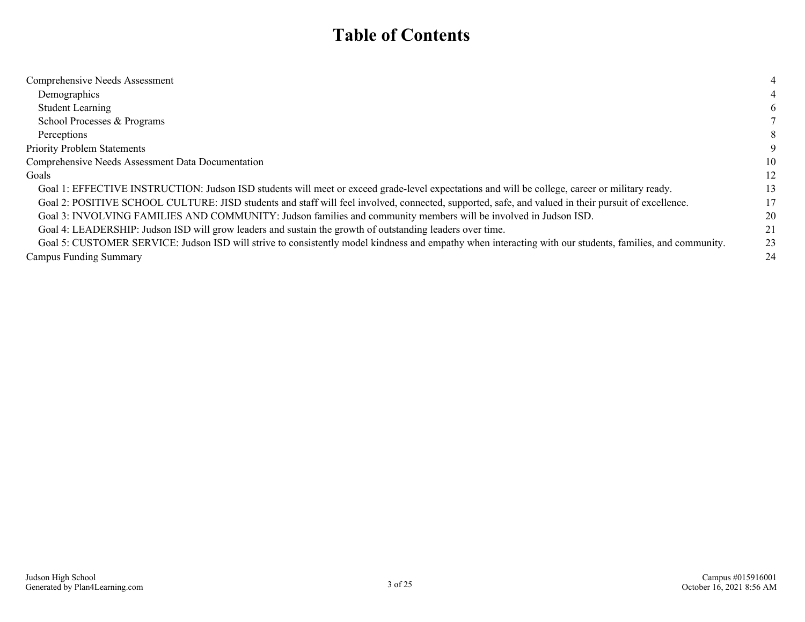## **Table of Contents**

| Comprehensive Needs Assessment                                                                                                                           | 4  |
|----------------------------------------------------------------------------------------------------------------------------------------------------------|----|
| Demographics                                                                                                                                             |    |
| <b>Student Learning</b>                                                                                                                                  | 6  |
| School Processes & Programs                                                                                                                              |    |
| Perceptions                                                                                                                                              | 8  |
| <b>Priority Problem Statements</b>                                                                                                                       | 9  |
| Comprehensive Needs Assessment Data Documentation                                                                                                        | 10 |
| Goals                                                                                                                                                    | 12 |
| Goal 1: EFFECTIVE INSTRUCTION: Judson ISD students will meet or exceed grade-level expectations and will be college, career or military ready.           | 13 |
| Goal 2: POSITIVE SCHOOL CULTURE: JISD students and staff will feel involved, connected, supported, safe, and valued in their pursuit of excellence.      | 17 |
| Goal 3: INVOLVING FAMILIES AND COMMUNITY: Judson families and community members will be involved in Judson ISD.                                          | 20 |
| Goal 4: LEADERSHIP: Judson ISD will grow leaders and sustain the growth of outstanding leaders over time.                                                | 21 |
| Goal 5: CUSTOMER SERVICE: Judson ISD will strive to consistently model kindness and empathy when interacting with our students, families, and community. | 23 |
| Campus Funding Summary                                                                                                                                   | 24 |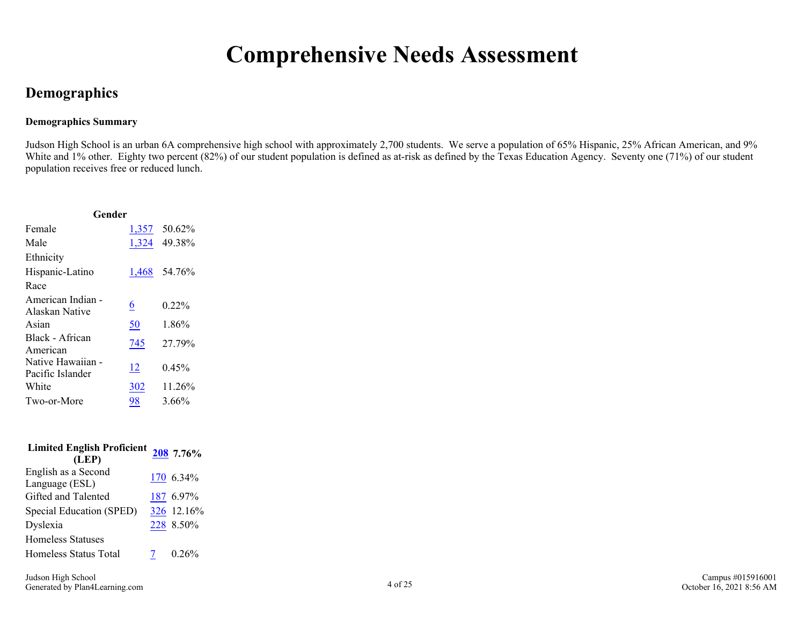# **Comprehensive Needs Assessment**

## <span id="page-3-0"></span>**Demographics**

### **Demographics Summary**

Judson High School is an urban 6A comprehensive high school with approximately 2,700 students. We serve a population of 65% Hispanic, 25% African American, and 9% White and 1% other. Eighty two percent (82%) of our student population is defined as at-risk as defined by the Texas Education Agency. Seventy one (71%) of our student population receives free or reduced lunch.

| Gender                                |           |              |  |  |
|---------------------------------------|-----------|--------------|--|--|
| Female                                |           | 1,357 50.62% |  |  |
| Male                                  |           | 1,324 49.38% |  |  |
| Ethnicity                             |           |              |  |  |
| Hispanic-Latino                       | 1,468     | 54.76%       |  |  |
| Race                                  |           |              |  |  |
| American Indian -<br>Alaskan Native   | <u>6</u>  | $0.22\%$     |  |  |
| Asian                                 | <u>50</u> | 1.86%        |  |  |
| Black - African<br>American           | 745       | 27.79%       |  |  |
| Native Hawaiian -<br>Pacific Islander | 12        | 0.45%        |  |  |
| White                                 | 302       | 11.26%       |  |  |
| Two-or-More                           | 98        | $3.66\%$     |  |  |

| <b>Limited English Proficient</b><br>(LEP) | 208 7.76%  |
|--------------------------------------------|------------|
| English as a Second                        | 170 6.34%  |
| Language (ESL)                             |            |
| Gifted and Talented                        | 187 6.97%  |
| Special Education (SPED)                   | 326 12.16% |
| Dyslexia                                   | 228 8.50%  |
| <b>Homeless Statuses</b>                   |            |
| Homeless Status Total                      | 0.26%      |
|                                            |            |

Campus #015916001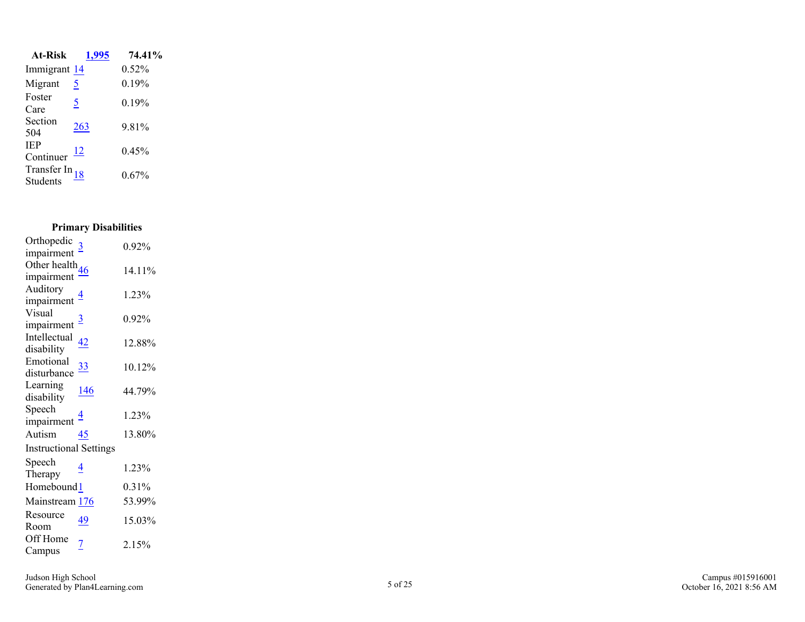| <b>At-Risk</b>                                 | 1,995          | 74.41%   |
|------------------------------------------------|----------------|----------|
| Immigrant 14                                   |                | 0.52%    |
| Migrant                                        | <u>5</u>       | 0.19%    |
| Foster<br>Care                                 | $\overline{5}$ | 0.19%    |
| Section<br>504                                 | 263            | 9.81%    |
| <b>IEP</b><br>Continuer                        | $\frac{12}{2}$ | 0.45%    |
| Transfer In $\frac{18}{18}$<br><b>Students</b> |                | $0.67\%$ |

### **Primary Disabilities**

| Orthopedic                    |                | 0.92%  |
|-------------------------------|----------------|--------|
| impairment                    |                |        |
| Other health $46$             |                | 14.11% |
| impairment                    |                |        |
| Auditory                      | $\overline{4}$ | 1.23%  |
| impairment                    |                |        |
| Visual                        | $\overline{3}$ | 0.92%  |
| impairment                    |                |        |
| Intellectual                  | <u>42</u>      | 12.88% |
| disability                    |                |        |
| Emotional                     | <u>33</u>      | 10.12% |
| disturbance                   |                |        |
| Learning                      | <u> 146</u>    | 44.79% |
| disability                    |                |        |
| Speech                        | 4              | 1.23%  |
| impairment                    |                |        |
| Autism                        | 45             | 13.80% |
| <b>Instructional Settings</b> |                |        |
| Speech                        | 4              | 1.23%  |
| Therapy                       |                |        |
| Homebound 1                   |                | 0.31%  |
| Mainstream 176                |                | 53.99% |
| Resource                      | 49             | 15.03% |
| Room                          |                |        |
| Off Home                      |                |        |
| Campus                        |                |        |
|                               | $\overline{7}$ | 2.15%  |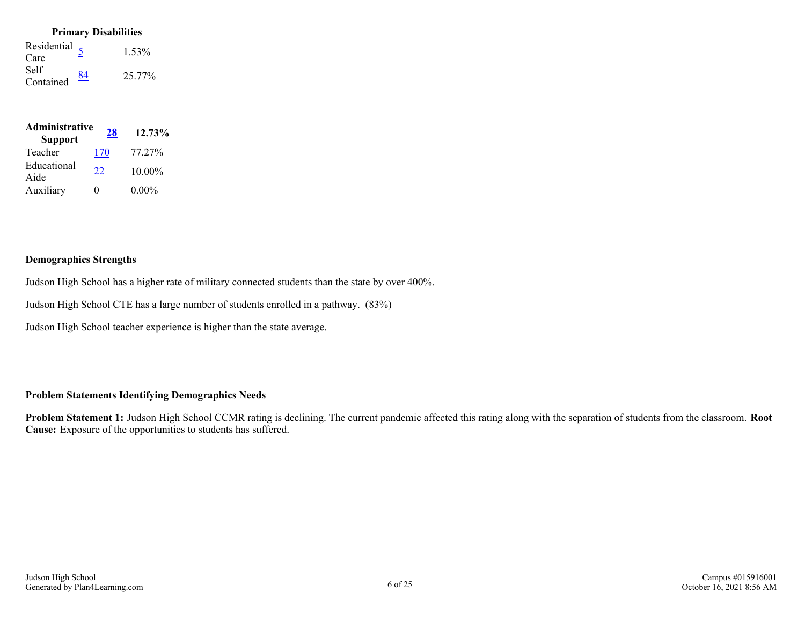#### **Primary Disabilities**

Residential  $\frac{5}{2}$  $\frac{5}{2}$  $\frac{5}{2}$  1.53% Self Self<br>Contained  $\frac{84}{25.77\%}$  $\frac{84}{25.77\%}$  $\frac{84}{25.77\%}$ 

| Administrative<br><b>Support</b> | 28  | 12.73%    |
|----------------------------------|-----|-----------|
| Teacher                          | 170 | 77.27%    |
| Educational<br>Aide              | 22  | $10.00\%$ |
| Auxiliary                        | 0   | $0.00\%$  |

#### **Demographics Strengths**

Judson High School has a higher rate of military connected students than the state by over 400%.

Judson High School CTE has a large number of students enrolled in a pathway. (83%)

Judson High School teacher experience is higher than the state average.

### **Problem Statements Identifying Demographics Needs**

**Problem Statement 1:** Judson High School CCMR rating is declining. The current pandemic affected this rating along with the separation of students from the classroom. **Root Cause:** Exposure of the opportunities to students has suffered.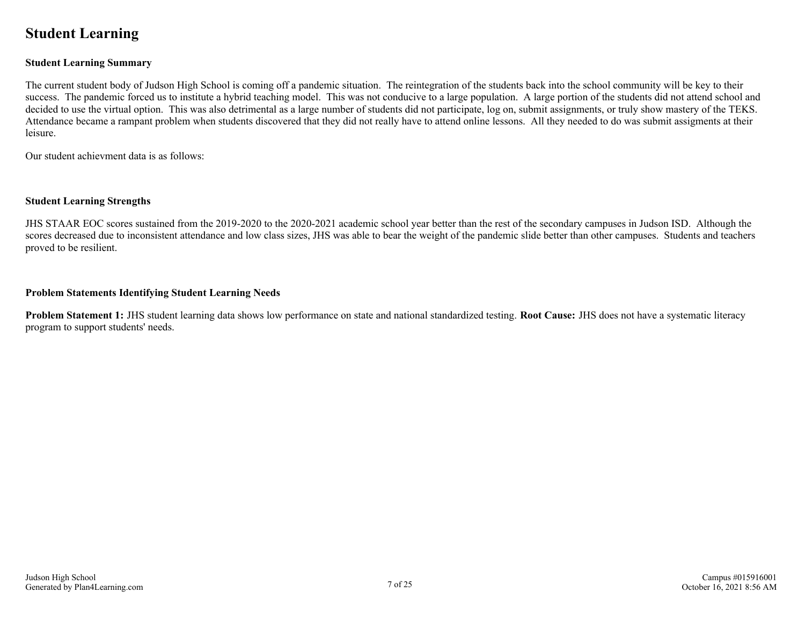## <span id="page-6-0"></span>**Student Learning**

#### **Student Learning Summary**

The current student body of Judson High School is coming off a pandemic situation. The reintegration of the students back into the school community will be key to their success. The pandemic forced us to institute a hybrid teaching model. This was not conducive to a large population. A large portion of the students did not attend school and decided to use the virtual option. This was also detrimental as a large number of students did not participate, log on, submit assignments, or truly show mastery of the TEKS. Attendance became a rampant problem when students discovered that they did not really have to attend online lessons. All they needed to do was submit assigments at their leisure.

Our student achievment data is as follows:

#### **Student Learning Strengths**

JHS STAAR EOC scores sustained from the 2019-2020 to the 2020-2021 academic school year better than the rest of the secondary campuses in Judson ISD. Although the scores decreased due to inconsistent attendance and low class sizes, JHS was able to bear the weight of the pandemic slide better than other campuses. Students and teachers proved to be resilient.

#### **Problem Statements Identifying Student Learning Needs**

**Problem Statement 1:** JHS student learning data shows low performance on state and national standardized testing. **Root Cause:** JHS does not have a systematic literacy program to support students' needs.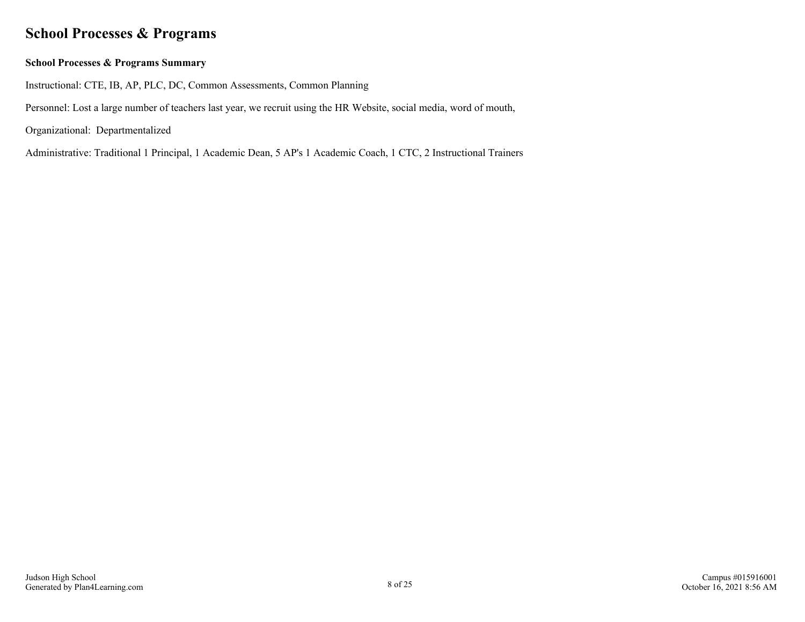## <span id="page-7-0"></span>**School Processes & Programs**

### **School Processes & Programs Summary**

Instructional: CTE, IB, AP, PLC, DC, Common Assessments, Common Planning

Personnel: Lost a large number of teachers last year, we recruit using the HR Website, social media, word of mouth,

Organizational: Departmentalized

Administrative: Traditional 1 Principal, 1 Academic Dean, 5 AP's 1 Academic Coach, 1 CTC, 2 Instructional Trainers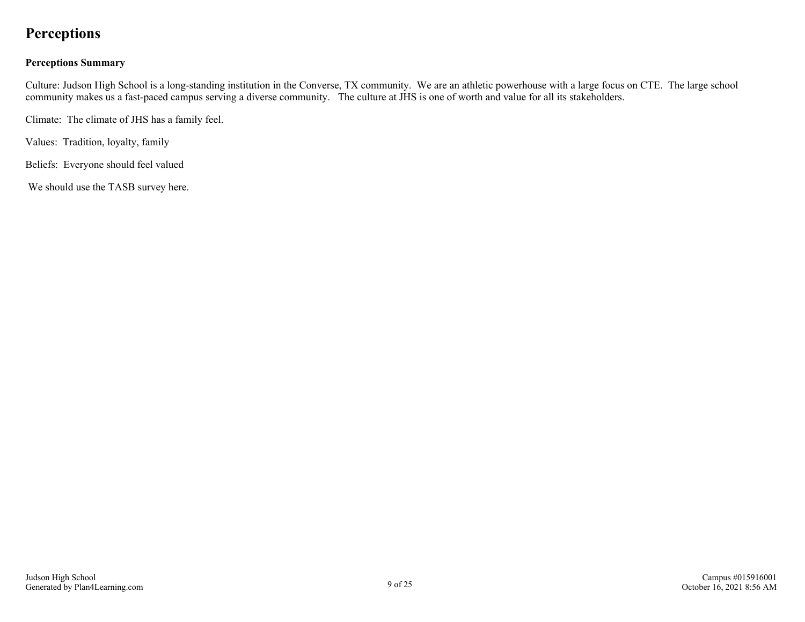## <span id="page-8-0"></span>**Perceptions**

### **Perceptions Summary**

Culture: Judson High School is a long-standing institution in the Converse, TX community. We are an athletic powerhouse with a large focus on CTE. The large school community makes us a fast-paced campus serving a diverse community. The culture at JHS is one of worth and value for all its stakeholders.

Climate: The climate of JHS has a family feel.

Values: Tradition, loyalty, family

Beliefs: Everyone should feel valued

We should use the TASB survey here.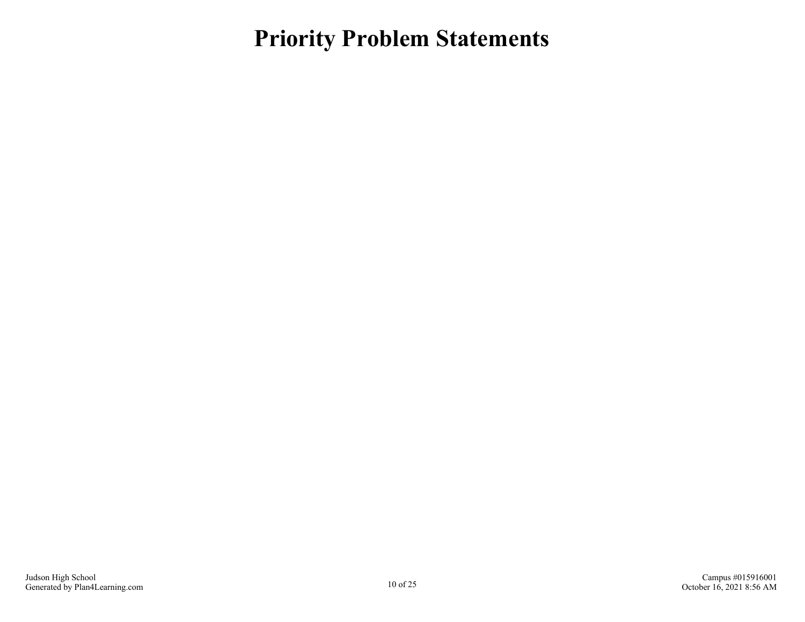<span id="page-9-0"></span>**Priority Problem Statements**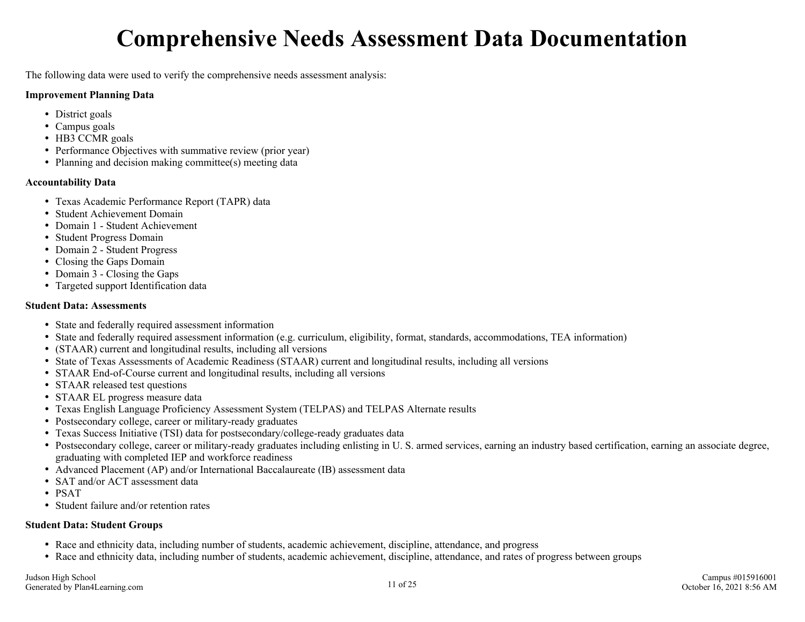# **Comprehensive Needs Assessment Data Documentation**

<span id="page-10-0"></span>The following data were used to verify the comprehensive needs assessment analysis:

#### **Improvement Planning Data**

- District goals
- Campus goals
- HB3 CCMR goals
- Performance Objectives with summative review (prior year)
- Planning and decision making committee(s) meeting data

### **Accountability Data**

- Texas Academic Performance Report (TAPR) data
- Student Achievement Domain
- Domain 1 Student Achievement
- Student Progress Domain
- Domain 2 Student Progress
- Closing the Gaps Domain
- Domain 3 Closing the Gaps
- Targeted support Identification data

### **Student Data: Assessments**

- State and federally required assessment information
- State and federally required assessment information (e.g. curriculum, eligibility, format, standards, accommodations, TEA information)
- (STAAR) current and longitudinal results, including all versions
- State of Texas Assessments of Academic Readiness (STAAR) current and longitudinal results, including all versions
- STAAR End-of-Course current and longitudinal results, including all versions
- STAAR released test questions
- STAAR EL progress measure data
- Texas English Language Proficiency Assessment System (TELPAS) and TELPAS Alternate results
- Postsecondary college, career or military-ready graduates
- Texas Success Initiative (TSI) data for postsecondary/college-ready graduates data
- Postsecondary college, career or military-ready graduates including enlisting in U. S. armed services, earning an industry based certification, earning an associate degree, graduating with completed IEP and workforce readiness
- Advanced Placement (AP) and/or International Baccalaureate (IB) assessment data
- SAT and/or ACT assessment data
- PSAT
- Student failure and/or retention rates

### **Student Data: Student Groups**

- Race and ethnicity data, including number of students, academic achievement, discipline, attendance, and progress
- Race and ethnicity data, including number of students, academic achievement, discipline, attendance, and rates of progress between groups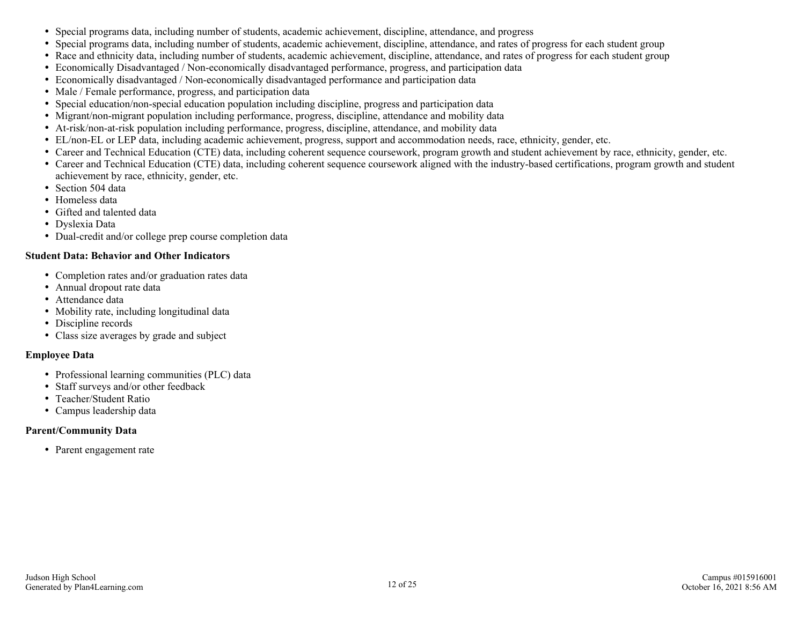- Special programs data, including number of students, academic achievement, discipline, attendance, and progress
- Special programs data, including number of students, academic achievement, discipline, attendance, and rates of progress for each student group
- Race and ethnicity data, including number of students, academic achievement, discipline, attendance, and rates of progress for each student group
- Economically Disadvantaged / Non-economically disadvantaged performance, progress, and participation data
- Economically disadvantaged / Non-economically disadvantaged performance and participation data
- Male / Female performance, progress, and participation data
- Special education/non-special education population including discipline, progress and participation data
- Migrant/non-migrant population including performance, progress, discipline, attendance and mobility data
- At-risk/non-at-risk population including performance, progress, discipline, attendance, and mobility data
- EL/non-EL or LEP data, including academic achievement, progress, support and accommodation needs, race, ethnicity, gender, etc.
- Career and Technical Education (CTE) data, including coherent sequence coursework, program growth and student achievement by race, ethnicity, gender, etc.
- Career and Technical Education (CTE) data, including coherent sequence coursework aligned with the industry-based certifications, program growth and student achievement by race, ethnicity, gender, etc.
- Section 504 data
- Homeless data
- Gifted and talented data
- Dyslexia Data
- Dual-credit and/or college prep course completion data

#### **Student Data: Behavior and Other Indicators**

- Completion rates and/or graduation rates data
- Annual dropout rate data
- Attendance data
- Mobility rate, including longitudinal data
- Discipline records
- Class size averages by grade and subject

#### **Employee Data**

- Professional learning communities (PLC) data
- Staff surveys and/or other feedback
- Teacher/Student Ratio
- Campus leadership data

### **Parent/Community Data**

• Parent engagement rate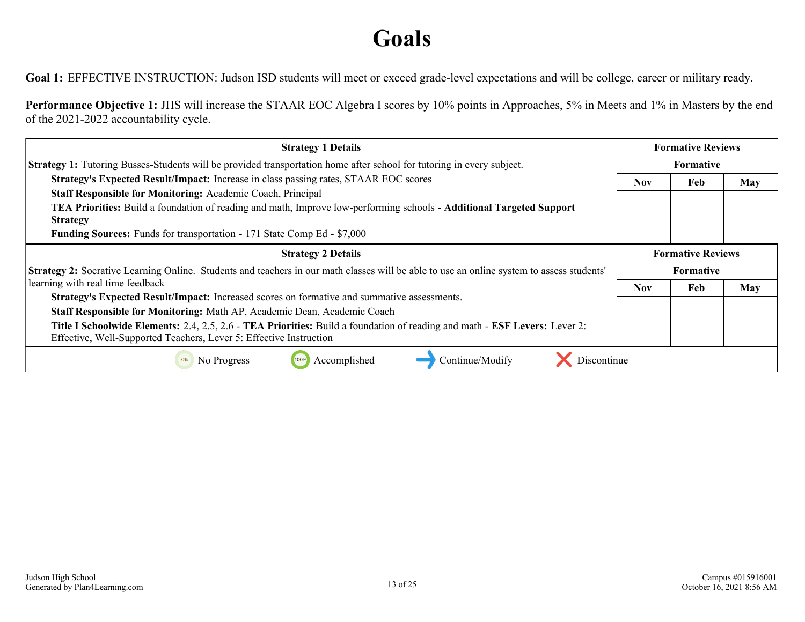# **Goals**

<span id="page-12-0"></span>Goal 1: EFFECTIVE INSTRUCTION: Judson ISD students will meet or exceed grade-level expectations and will be college, career or military ready.

**Performance Objective 1:** JHS will increase the STAAR EOC Algebra I scores by 10% points in Approaches, 5% in Meets and 1% in Masters by the end of the 2021-2022 accountability cycle.

| <b>Strategy 1 Details</b>                                                                                                                                                                        |            | <b>Formative Reviews</b> |            |
|--------------------------------------------------------------------------------------------------------------------------------------------------------------------------------------------------|------------|--------------------------|------------|
| <b>Strategy 1:</b> Tutoring Busses-Students will be provided transportation home after school for tutoring in every subject.                                                                     |            | <b>Formative</b>         |            |
| Strategy's Expected Result/Impact: Increase in class passing rates, STAAR EOC scores                                                                                                             | <b>Nov</b> | Feb                      | <b>May</b> |
| Staff Responsible for Monitoring: Academic Coach, Principal                                                                                                                                      |            |                          |            |
| TEA Priorities: Build a foundation of reading and math, Improve low-performing schools - Additional Targeted Support                                                                             |            |                          |            |
| <b>Strategy</b>                                                                                                                                                                                  |            |                          |            |
| <b>Funding Sources:</b> Funds for transportation - 171 State Comp Ed - \$7,000                                                                                                                   |            |                          |            |
| <b>Strategy 2 Details</b>                                                                                                                                                                        |            | <b>Formative Reviews</b> |            |
| <b>Strategy 2:</b> Socrative Learning Online. Students and teachers in our math classes will be able to use an online system to assess students'                                                 |            | <b>Formative</b>         |            |
| learning with real time feedback                                                                                                                                                                 |            | Feb                      | <b>May</b> |
| Strategy's Expected Result/Impact: Increased scores on formative and summative assessments.                                                                                                      |            |                          |            |
| Staff Responsible for Monitoring: Math AP, Academic Dean, Academic Coach                                                                                                                         |            |                          |            |
| Title I Schoolwide Elements: 2.4, 2.5, 2.6 - TEA Priorities: Build a foundation of reading and math - ESF Levers: Lever 2:<br>Effective, Well-Supported Teachers, Lever 5: Effective Instruction |            |                          |            |
| Accomplished<br>Continue/Modify<br>No Progress<br><b>Discontinue</b>                                                                                                                             |            |                          |            |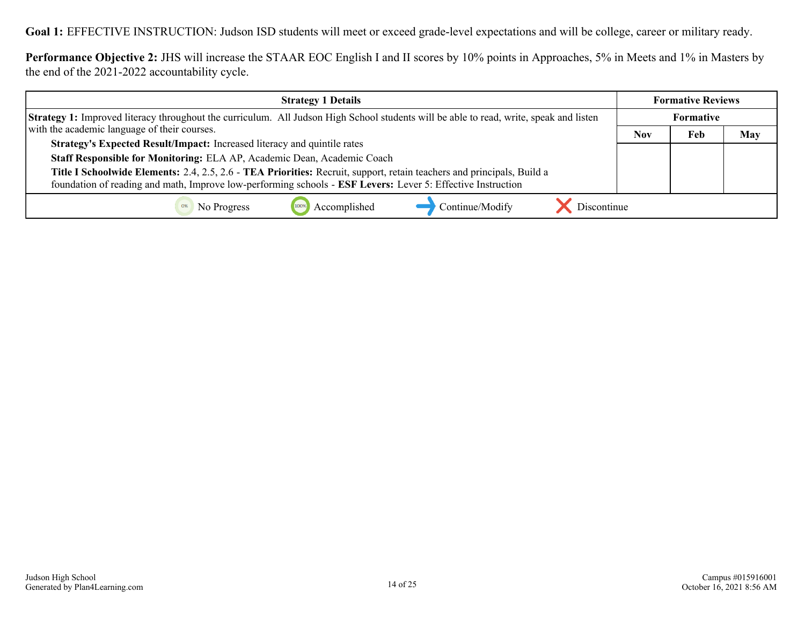**Performance Objective 2:** JHS will increase the STAAR EOC English I and II scores by 10% points in Approaches, 5% in Meets and 1% in Masters by the end of the 2021-2022 accountability cycle.

| <b>Strategy 1 Details</b>                                                                                                                     | <b>Formative Reviews</b> |                  |     |
|-----------------------------------------------------------------------------------------------------------------------------------------------|--------------------------|------------------|-----|
| <b>Strategy 1:</b> Improved literacy throughout the curriculum. All Judson High School students will be able to read, write, speak and listen |                          | <b>Formative</b> |     |
| with the academic language of their courses.                                                                                                  | <b>Nov</b>               | Feb              | May |
| Strategy's Expected Result/Impact: Increased literacy and quintile rates                                                                      |                          |                  |     |
| Staff Responsible for Monitoring: ELA AP, Academic Dean, Academic Coach                                                                       |                          |                  |     |
| Title I Schoolwide Elements: 2.4, 2.5, 2.6 - TEA Priorities: Recruit, support, retain teachers and principals, Build a                        |                          |                  |     |
| foundation of reading and math, Improve low-performing schools - ESF Levers: Lever 5: Effective Instruction                                   |                          |                  |     |
| Discontinue<br>Accomplished<br>Continue/Modify<br>No Progress                                                                                 |                          |                  |     |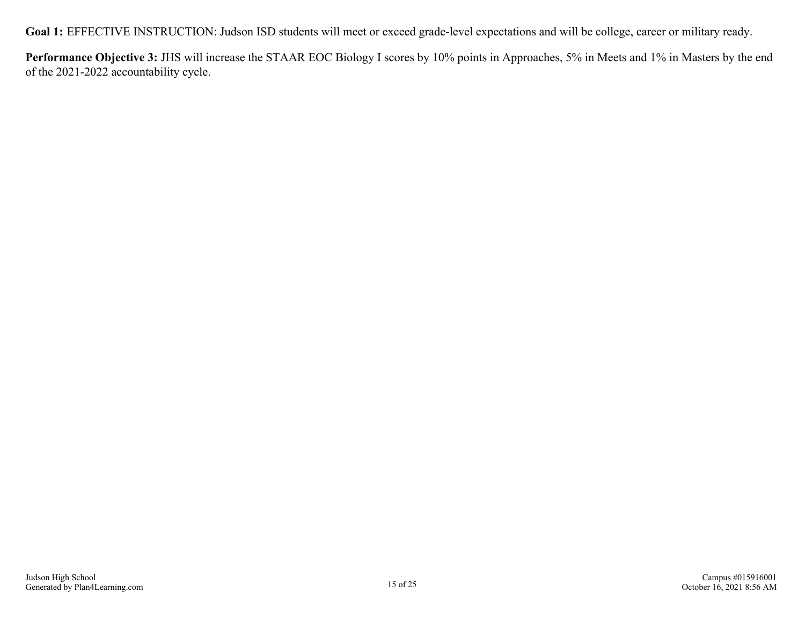**Performance Objective 3:** JHS will increase the STAAR EOC Biology I scores by 10% points in Approaches, 5% in Meets and 1% in Masters by the end of the 2021-2022 accountability cycle.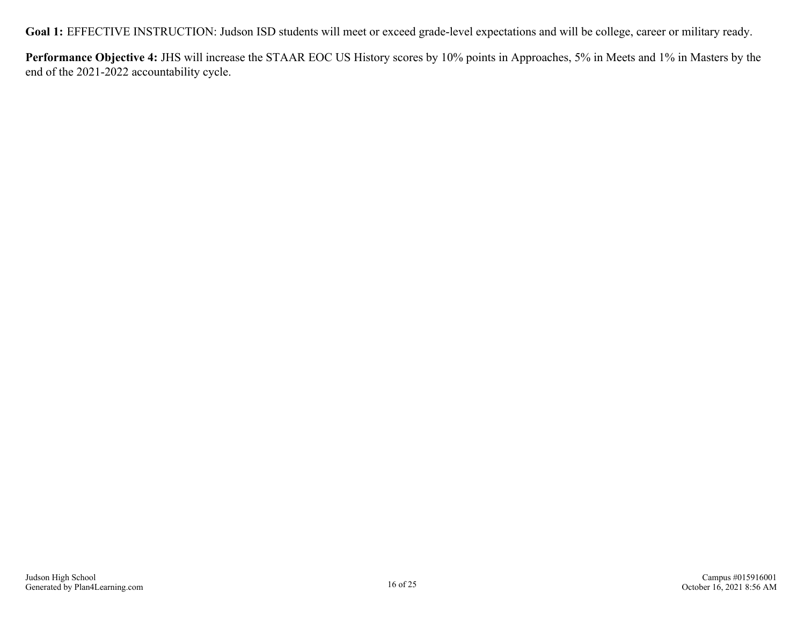**Performance Objective 4:** JHS will increase the STAAR EOC US History scores by 10% points in Approaches, 5% in Meets and 1% in Masters by the end of the 2021-2022 accountability cycle.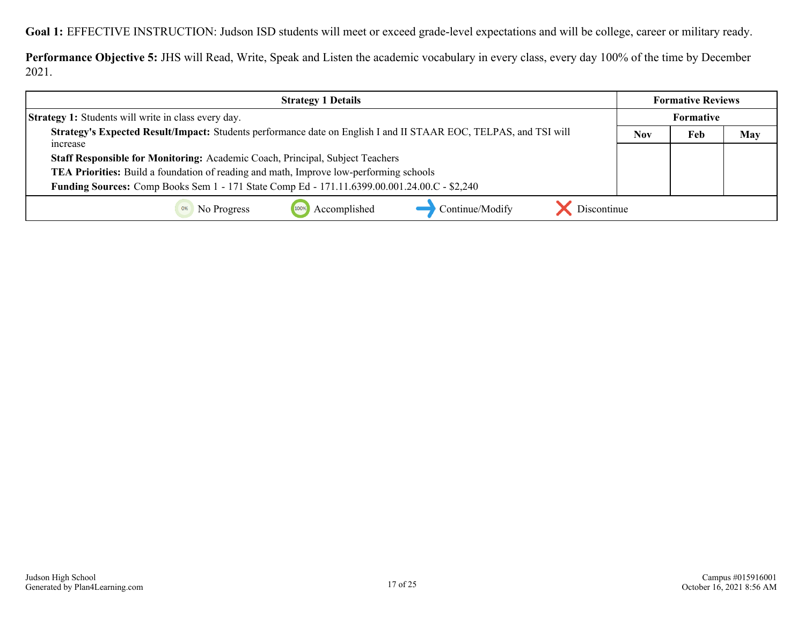**Performance Objective 5:** JHS will Read, Write, Speak and Listen the academic vocabulary in every class, every day 100% of the time by December 2021.

| <b>Strategy 1 Details</b>                                                                                                    | <b>Formative Reviews</b> |                  |     |
|------------------------------------------------------------------------------------------------------------------------------|--------------------------|------------------|-----|
| <b>Strategy 1:</b> Students will write in class every day.                                                                   |                          | <b>Formative</b> |     |
| Strategy's Expected Result/Impact: Students performance date on English I and II STAAR EOC, TELPAS, and TSI will<br>increase | <b>Nov</b>               | Feb              | May |
| Staff Responsible for Monitoring: Academic Coach, Principal, Subject Teachers                                                |                          |                  |     |
| TEA Priorities: Build a foundation of reading and math, Improve low-performing schools                                       |                          |                  |     |
| Funding Sources: Comp Books Sem 1 - 171 State Comp Ed - 171.11.6399.00.001.24.00.C - \$2,240                                 |                          |                  |     |
| Accomplished<br>Continue/Modify<br>Discontinue<br>No Progress<br>0%                                                          |                          |                  |     |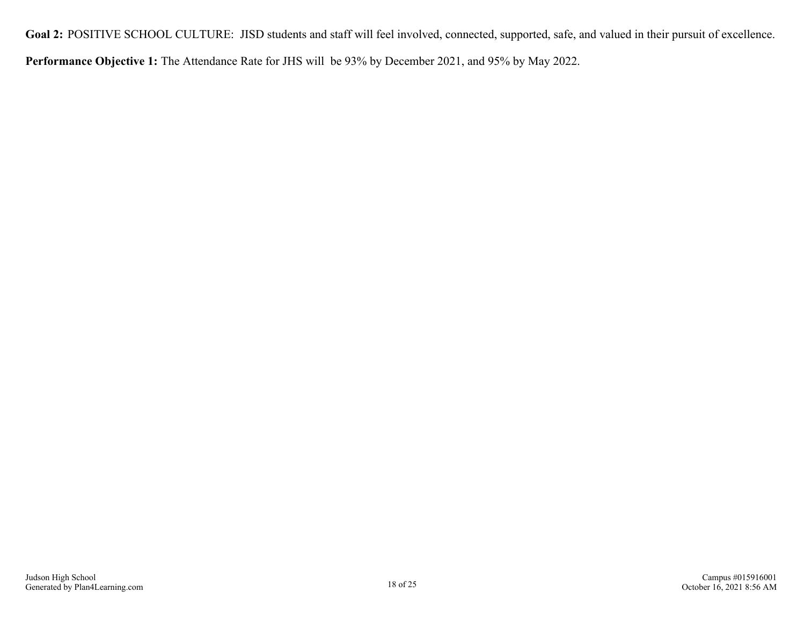<span id="page-17-0"></span>Goal 2: POSITIVE SCHOOL CULTURE: JISD students and staff will feel involved, connected, supported, safe, and valued in their pursuit of excellence.

**Performance Objective 1:** The Attendance Rate for JHS will be 93% by December 2021, and 95% by May 2022.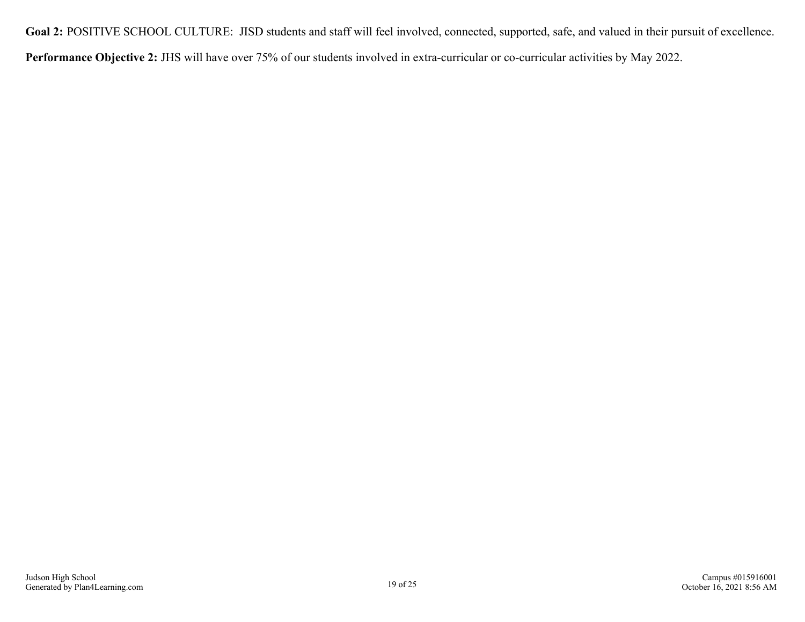Goal 2: POSITIVE SCHOOL CULTURE: JISD students and staff will feel involved, connected, supported, safe, and valued in their pursuit of excellence.

**Performance Objective 2:** JHS will have over 75% of our students involved in extra-curricular or co-curricular activities by May 2022.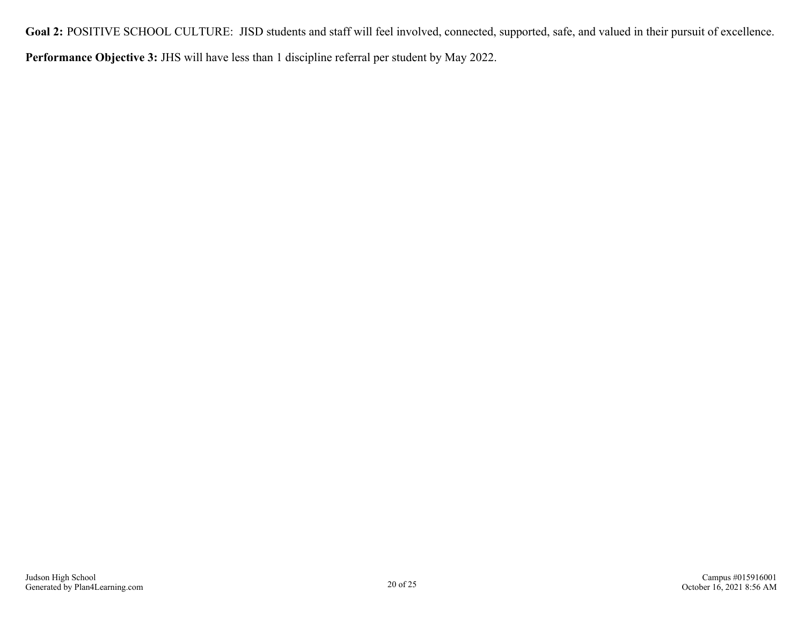Goal 2: POSITIVE SCHOOL CULTURE: JISD students and staff will feel involved, connected, supported, safe, and valued in their pursuit of excellence.

**Performance Objective 3:** JHS will have less than 1 discipline referral per student by May 2022.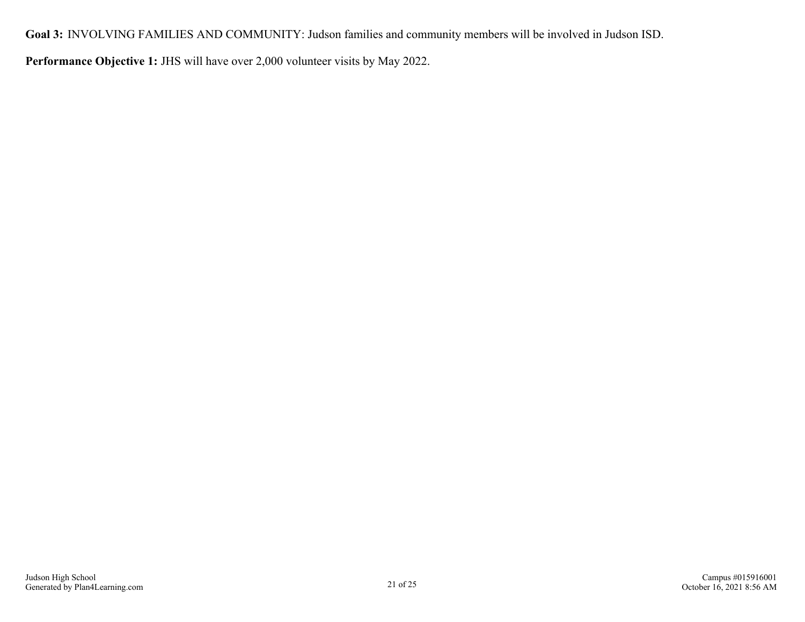<span id="page-20-0"></span>**Goal 3:** INVOLVING FAMILIES AND COMMUNITY: Judson families and community members will be involved in Judson ISD.

**Performance Objective 1:** JHS will have over 2,000 volunteer visits by May 2022.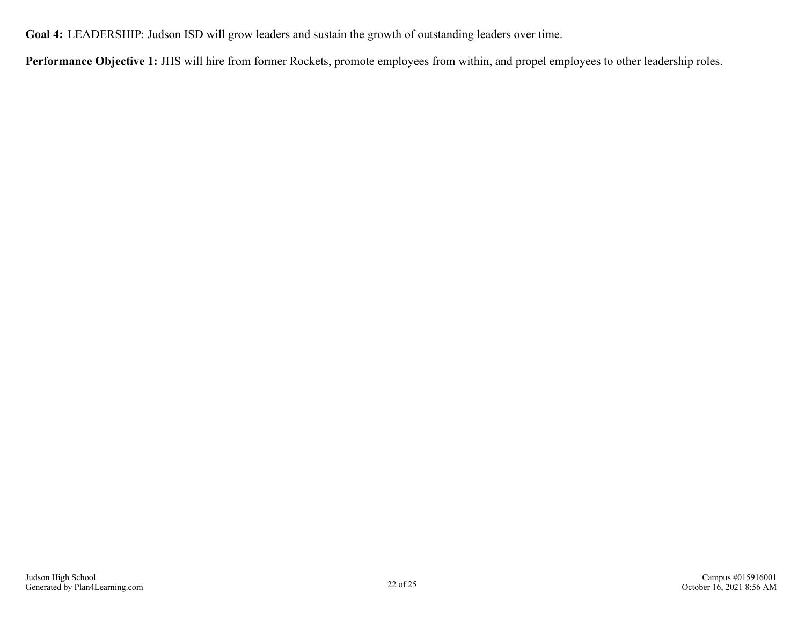<span id="page-21-0"></span>**Goal 4:** LEADERSHIP: Judson ISD will grow leaders and sustain the growth of outstanding leaders over time.

**Performance Objective 1:** JHS will hire from former Rockets, promote employees from within, and propel employees to other leadership roles.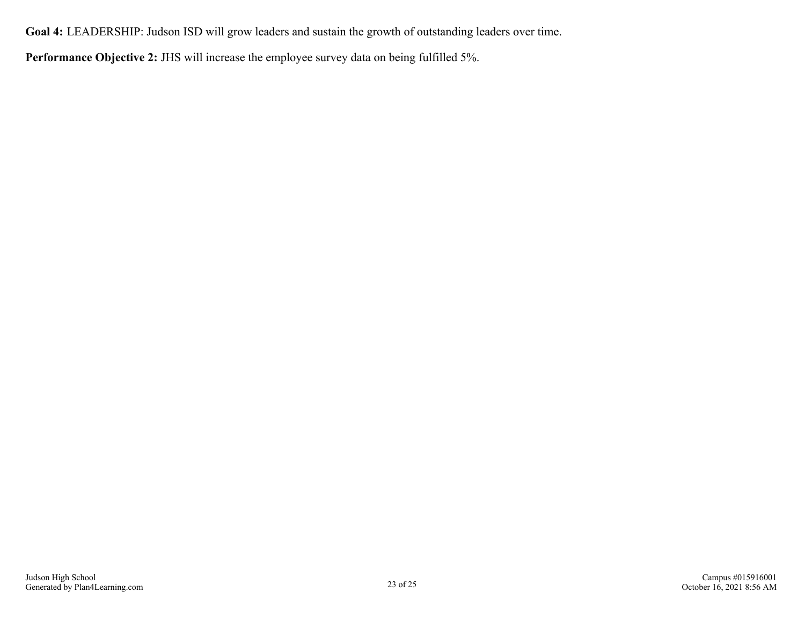**Goal 4:** LEADERSHIP: Judson ISD will grow leaders and sustain the growth of outstanding leaders over time.

**Performance Objective 2:** JHS will increase the employee survey data on being fulfilled 5%.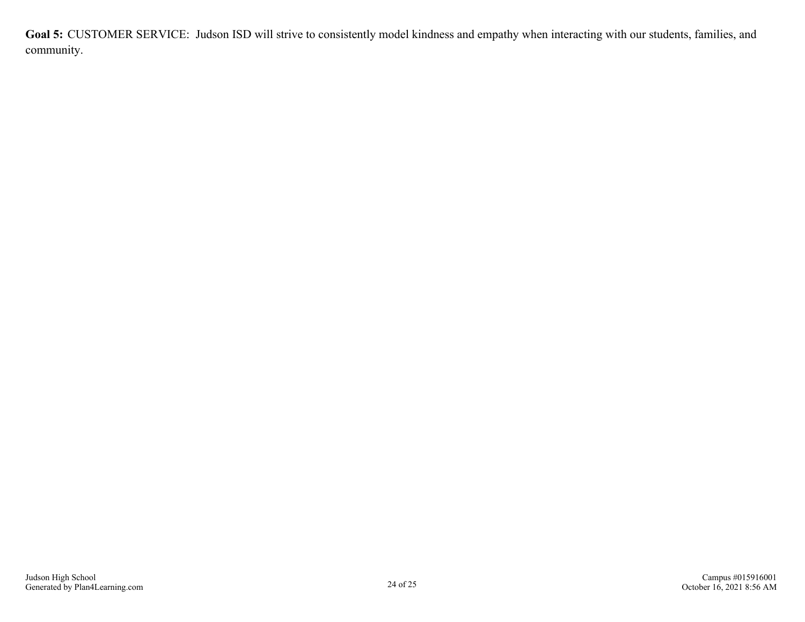<span id="page-23-0"></span>**Goal 5:** CUSTOMER SERVICE: Judson ISD will strive to consistently model kindness and empathy when interacting with our students, families, and community.